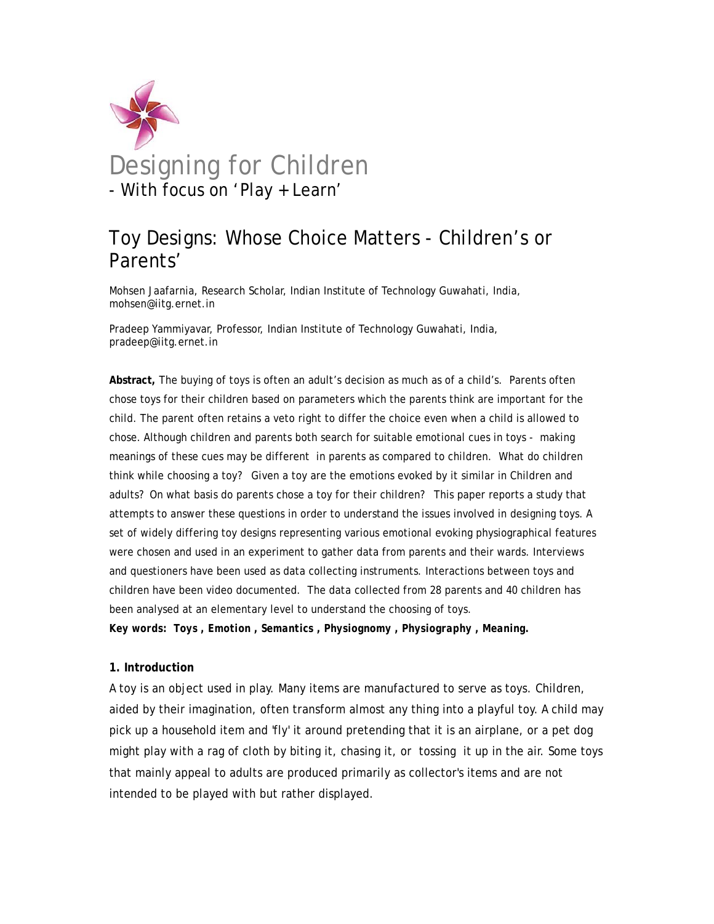

# Toy Designs: Whose Choice Matters - Children's or Parents'

Mohsen Jaafarnia, Research Scholar, Indian Institute of Technology Guwahati, India, mohsen@iitg.ernet.in

Pradeep Yammiyavar, Professor, Indian Institute of Technology Guwahati, India, pradeep@iitg.ernet.in

**Abstract,** The buying of toys is often an adult's decision as much as of a child's. Parents often chose toys for their children based on parameters which the parents think are important for the child. The parent often retains a veto right to differ the choice even when a child is allowed to chose. Although children and parents both search for suitable emotional cues in toys - making meanings of these cues may be different in parents as compared to children. What do children think while choosing a toy? Given a toy are the emotions evoked by it similar in Children and adults? On what basis do parents chose a toy for their children? This paper reports a study that attempts to answer these questions in order to understand the issues involved in designing toys. A set of widely differing toy designs representing various emotional evoking physiographical features were chosen and used in an experiment to gather data from parents and their wards. Interviews and questioners have been used as data collecting instruments. Interactions between toys and children have been video documented. The data collected from 28 parents and 40 children has been analysed at an elementary level to understand the choosing of toys.

*Key words: Toys , Emotion , Semantics , Physiognomy , Physiography , Meaning.* 

## **1. Introduction**

A toy is an object used in play. Many items are manufactured to serve as toys. Children, aided by their imagination, often transform almost any thing into a playful toy. A child may pick up a household item and 'fly' it around pretending that it is an airplane, or a pet dog might play with a rag of cloth by biting it, chasing it, or tossing it up in the air. Some toys that mainly appeal to adults are produced primarily as collector's items and are not intended to be played with but rather displayed.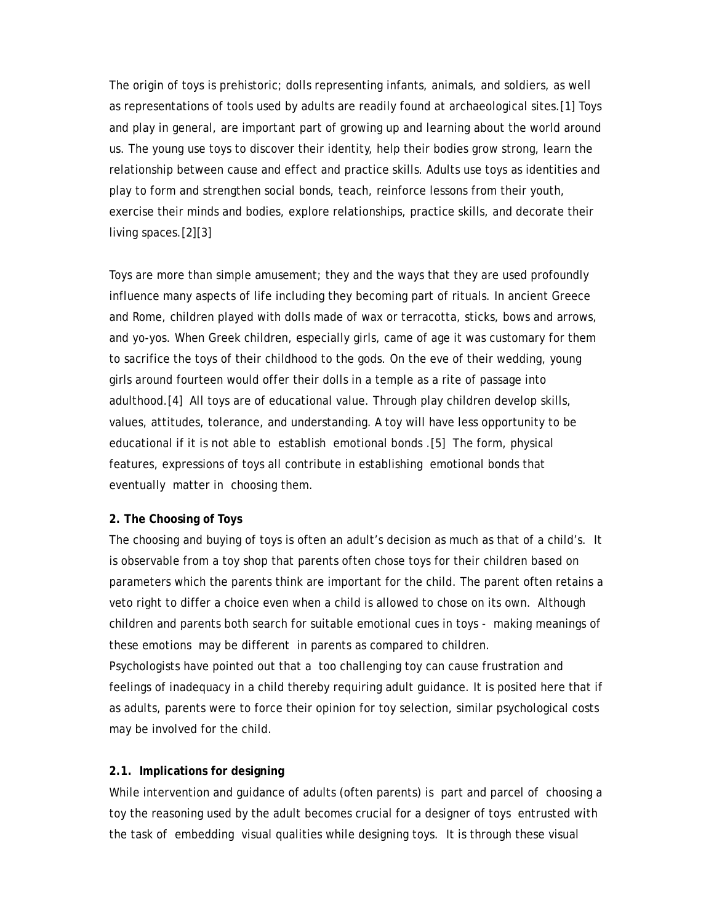The origin of toys is prehistoric; dolls representing infants, animals, and soldiers, as well as representations of tools used by adults are readily found at archaeological sites.[1] Toys and play in general, are important part of growing up and learning about the world around us. The young use toys to discover their identity, help their bodies grow strong, learn the relationship between cause and effect and practice skills. Adults use toys as identities and play to form and strengthen social bonds, teach, reinforce lessons from their youth, exercise their minds and bodies, explore relationships, practice skills, and decorate their living spaces.[2][3]

Toys are more than simple amusement; they and the ways that they are used profoundly influence many aspects of life including they becoming part of rituals. In ancient Greece and Rome, children played with dolls made of wax or terracotta, sticks, bows and arrows, and yo-yos. When Greek children, especially girls, came of age it was customary for them to sacrifice the toys of their childhood to the gods. On the eve of their wedding, young girls around fourteen would offer their dolls in a temple as a rite of passage into adulthood.[4] All toys are of educational value. Through play children develop skills, values, attitudes, tolerance, and understanding. A toy will have less opportunity to be educational if it is not able to establish emotional bonds .[5] The form, physical features, expressions of toys all contribute in establishing emotional bonds that eventually matter in choosing them.

## **2. The Choosing of Toys**

The choosing and buying of toys is often an adult's decision as much as that of a child's. It is observable from a toy shop that parents often chose toys for their children based on parameters which the parents think are important for the child. The parent often retains a veto right to differ a choice even when a child is allowed to chose on its own. Although children and parents both search for suitable emotional cues in toys - making meanings of these emotions may be different in parents as compared to children. Psychologists have pointed out that a too challenging toy can cause frustration and feelings of inadequacy in a child thereby requiring adult guidance. It is posited here that if

as adults, parents were to force their opinion for toy selection, similar psychological costs may be involved for the child.

## **2.1. Implications for designing**

While intervention and guidance of adults (often parents) is part and parcel of choosing a toy the reasoning used by the adult becomes crucial for a designer of toys entrusted with the task of embedding visual qualities while designing toys. It is through these visual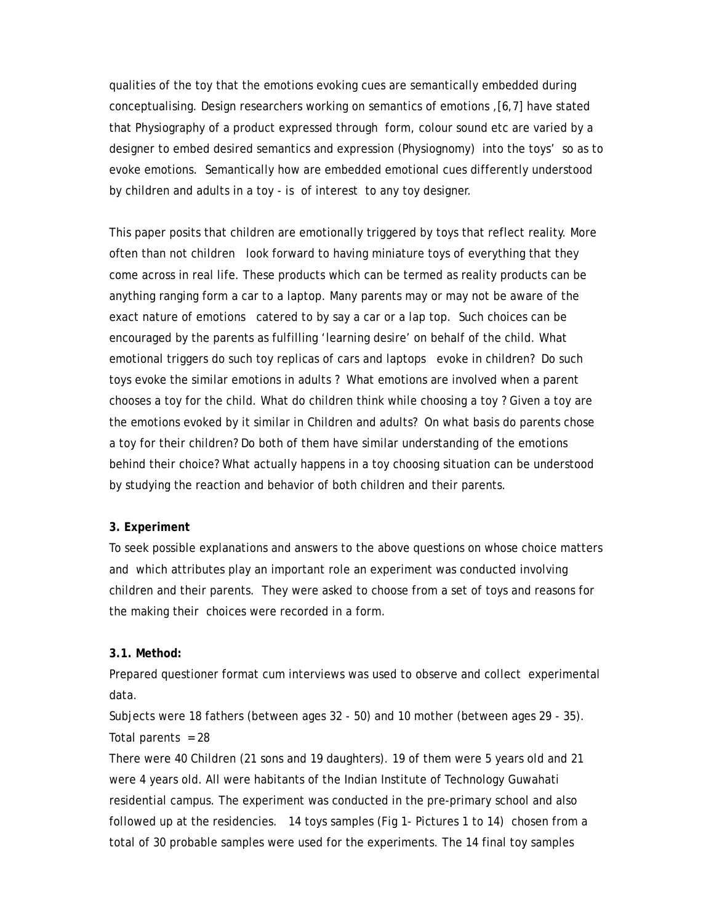qualities of the toy that the emotions evoking cues are semantically embedded during conceptualising. Design researchers working on semantics of emotions ,[6,7] have stated that Physiography of a product expressed through form, colour sound etc are varied by a designer to embed desired semantics and expression (Physiognomy) into the toys' so as to evoke emotions. Semantically how are embedded emotional cues differently understood by children and adults in a toy - is of interest to any toy designer.

This paper posits that children are emotionally triggered by toys that reflect reality. More often than not children look forward to having miniature toys of everything that they come across in real life. These products which can be termed as reality products can be anything ranging form a car to a laptop. Many parents may or may not be aware of the exact nature of emotions catered to by say a car or a lap top. Such choices can be encouraged by the parents as fulfilling 'learning desire' on behalf of the child. What emotional triggers do such toy replicas of cars and laptops evoke in children? Do such toys evoke the similar emotions in adults ? What emotions are involved when a parent chooses a toy for the child. What do children think while choosing a toy ? Given a toy are the emotions evoked by it similar in Children and adults? On what basis do parents chose a toy for their children? Do both of them have similar understanding of the emotions behind their choice? What actually happens in a toy choosing situation can be understood by studying the reaction and behavior of both children and their parents.

## **3. Experiment**

To seek possible explanations and answers to the above questions on whose choice matters and which attributes play an important role an experiment was conducted involving children and their parents. They were asked to choose from a set of toys and reasons for the making their choices were recorded in a form.

## **3.1. Method:**

Prepared questioner format cum interviews was used to observe and collect experimental data.

Subjects were 18 fathers (between ages 32 - 50) and 10 mother (between ages 29 - 35). Total parents  $= 28$ 

There were 40 Children (21 sons and 19 daughters). 19 of them were 5 years old and 21 were 4 years old. All were habitants of the Indian Institute of Technology Guwahati residential campus. The experiment was conducted in the pre-primary school and also followed up at the residencies. 14 toys samples (Fig 1- Pictures 1 to 14) chosen from a total of 30 probable samples were used for the experiments. The 14 final toy samples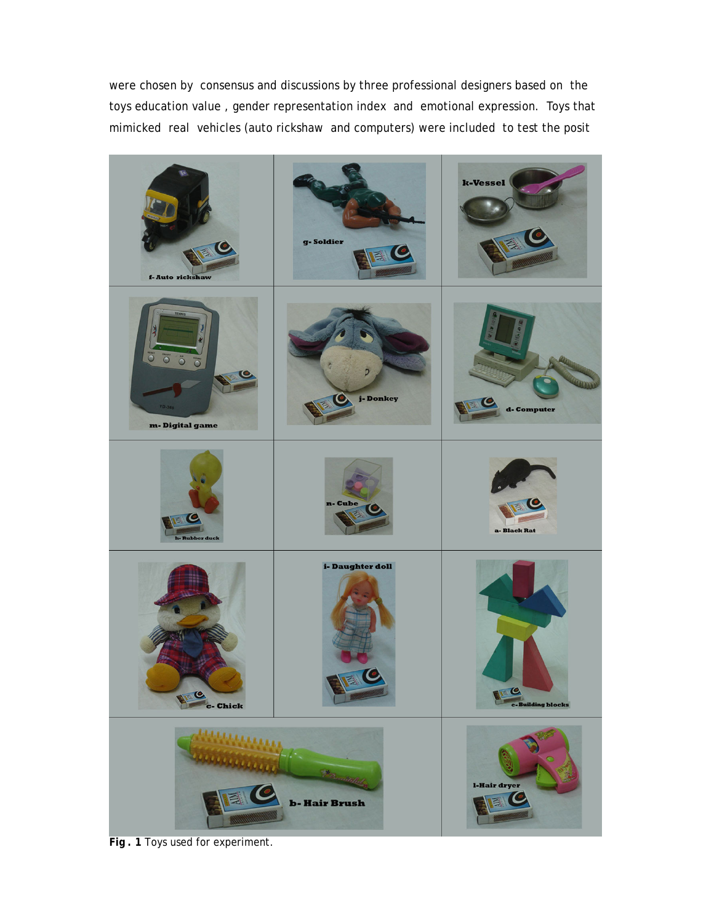were chosen by consensus and discussions by three professional designers based on the toys education value , gender representation index and emotional expression. Toys that mimicked real vehicles (auto rickshaw and computers) were included to test the posit



**Fig . 1** Toys used for experiment.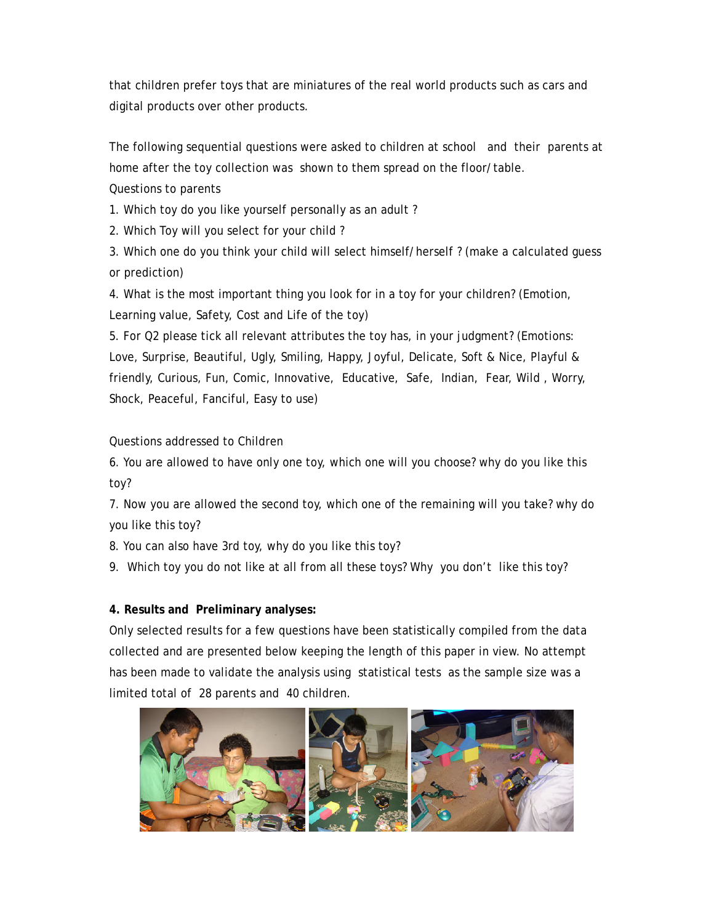that children prefer toys that are miniatures of the real world products such as cars and digital products over other products.

The following sequential questions were asked to children at school and their parents at home after the toy collection was shown to them spread on the floor/table. Questions to parents

1. Which toy do you like yourself personally as an adult ?

2. Which Toy will you select for your child ?

3. Which one do you think your child will select himself/herself ? (make a calculated guess or prediction)

4. What is the most important thing you look for in a toy for your children? (Emotion, Learning value, Safety, Cost and Life of the toy)

5. For Q2 please tick all relevant attributes the toy has, in your judgment? (Emotions: Love, Surprise, Beautiful, Ugly, Smiling, Happy, Joyful, Delicate, Soft & Nice, Playful & friendly, Curious, Fun, Comic, Innovative, Educative, Safe, Indian, Fear, Wild , Worry, Shock, Peaceful, Fanciful, Easy to use)

# Questions addressed to Children

6. You are allowed to have only one toy, which one will you choose? why do you like this toy?

7. Now you are allowed the second toy, which one of the remaining will you take? why do you like this toy?

8. You can also have 3rd toy, why do you like this toy?

9. Which toy you do not like at all from all these toys? Why you don't like this toy?

# **4. Results and Preliminary analyses:**

Only selected results for a few questions have been statistically compiled from the data collected and are presented below keeping the length of this paper in view. No attempt has been made to validate the analysis using statistical tests as the sample size was a limited total of 28 parents and 40 children.

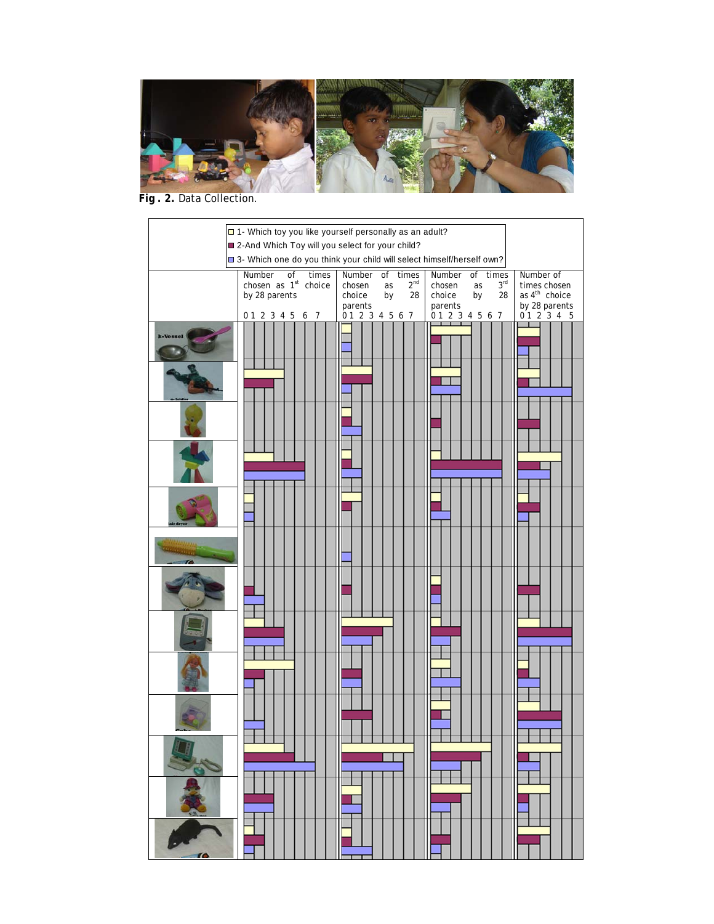

 **Fig . 2.** Data Collection.

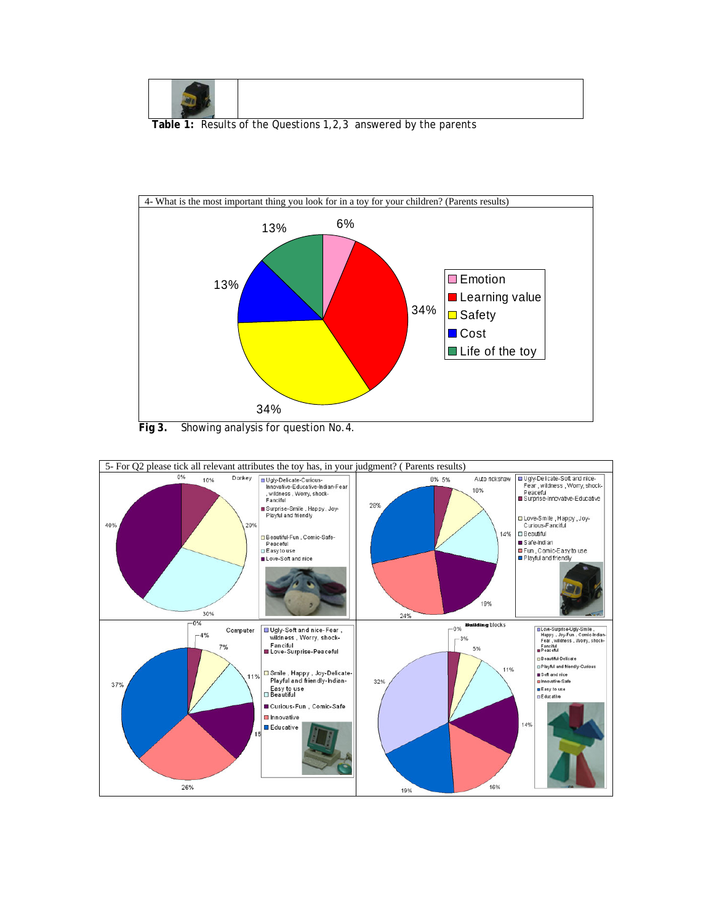

 **Table 1:** Results of the Questions 1,2,3 answered by the parents



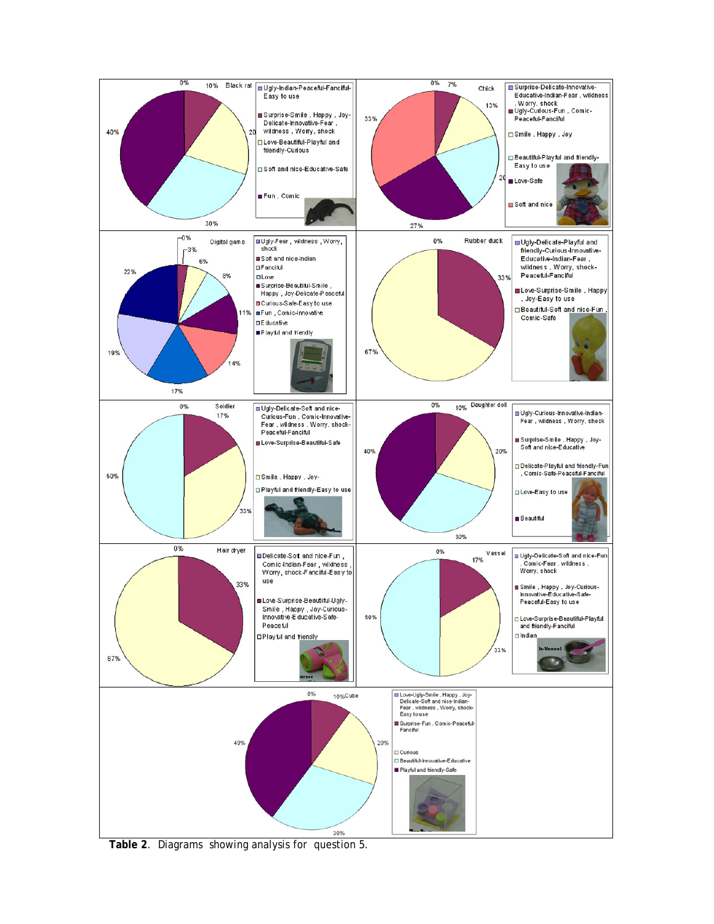

**Table 2**. Diagrams showing analysis for question 5.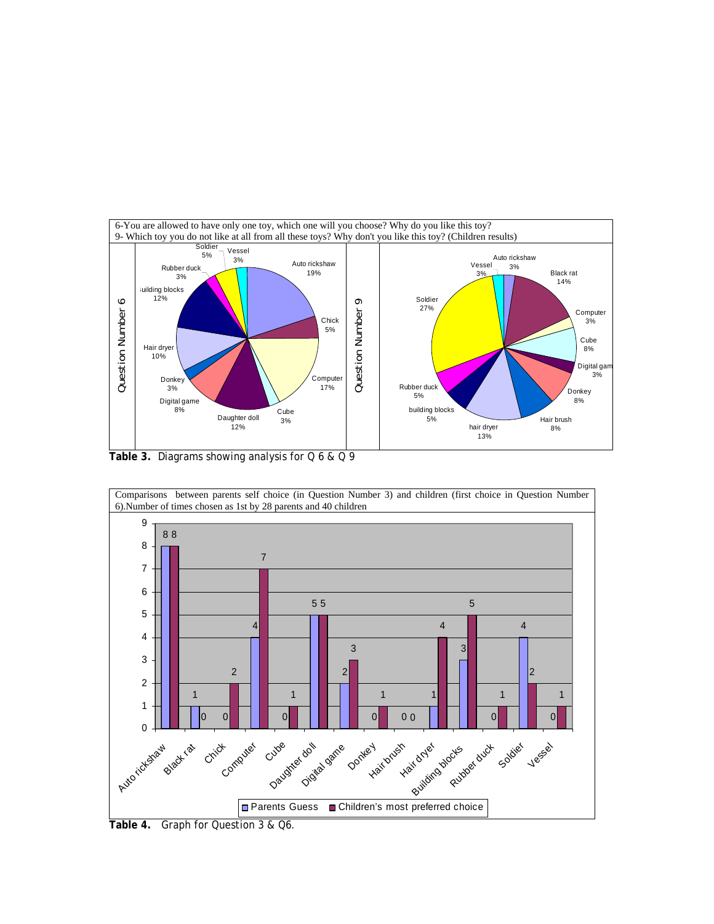



**Table 4.** Graph for Question 3 & Q6.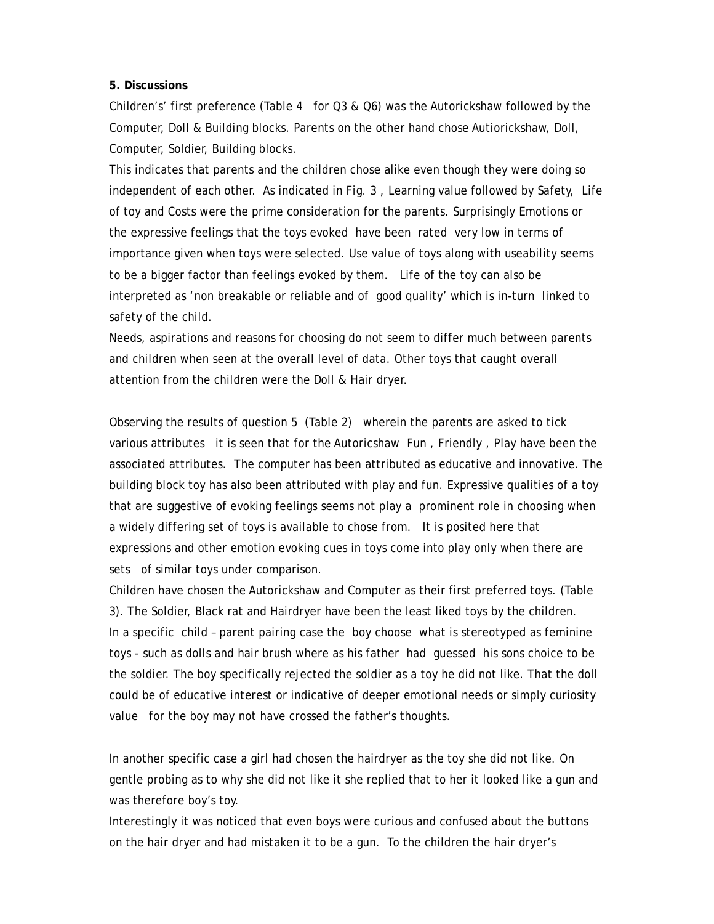## **5. Discussions**

Children's' first preference (Table 4 for Q3 & Q6) was the Autorickshaw followed by the Computer, Doll & Building blocks. Parents on the other hand chose Autiorickshaw, Doll, Computer, Soldier, Building blocks.

This indicates that parents and the children chose alike even though they were doing so independent of each other. As indicated in Fig. 3 , Learning value followed by Safety, Life of toy and Costs were the prime consideration for the parents. Surprisingly Emotions or the expressive feelings that the toys evoked have been rated very low in terms of importance given when toys were selected. Use value of toys along with useability seems to be a bigger factor than feelings evoked by them. Life of the toy can also be interpreted as 'non breakable or reliable and of good quality' which is in-turn linked to safety of the child.

Needs, aspirations and reasons for choosing do not seem to differ much between parents and children when seen at the overall level of data. Other toys that caught overall attention from the children were the Doll & Hair dryer.

Observing the results of question 5 (Table 2) wherein the parents are asked to tick various attributes it is seen that for the Autoricshaw Fun , Friendly , Play have been the associated attributes. The computer has been attributed as educative and innovative. The building block toy has also been attributed with play and fun. Expressive qualities of a toy that are suggestive of evoking feelings seems not play a prominent role in choosing when a widely differing set of toys is available to chose from. It is posited here that expressions and other emotion evoking cues in toys come into play only when there are sets of similar toys under comparison.

Children have chosen the Autorickshaw and Computer as their first preferred toys. (Table 3). The Soldier, Black rat and Hairdryer have been the least liked toys by the children. In a specific child – parent pairing case the boy choose what is stereotyped as feminine toys - such as dolls and hair brush where as his father had guessed his sons choice to be the soldier. The boy specifically rejected the soldier as a toy he did not like. That the doll could be of educative interest or indicative of deeper emotional needs or simply curiosity value for the boy may not have crossed the father's thoughts.

In another specific case a girl had chosen the hairdryer as the toy she did not like. On gentle probing as to why she did not like it she replied that to her it looked like a gun and was therefore boy's toy.

Interestingly it was noticed that even boys were curious and confused about the buttons on the hair dryer and had mistaken it to be a gun. To the children the hair dryer's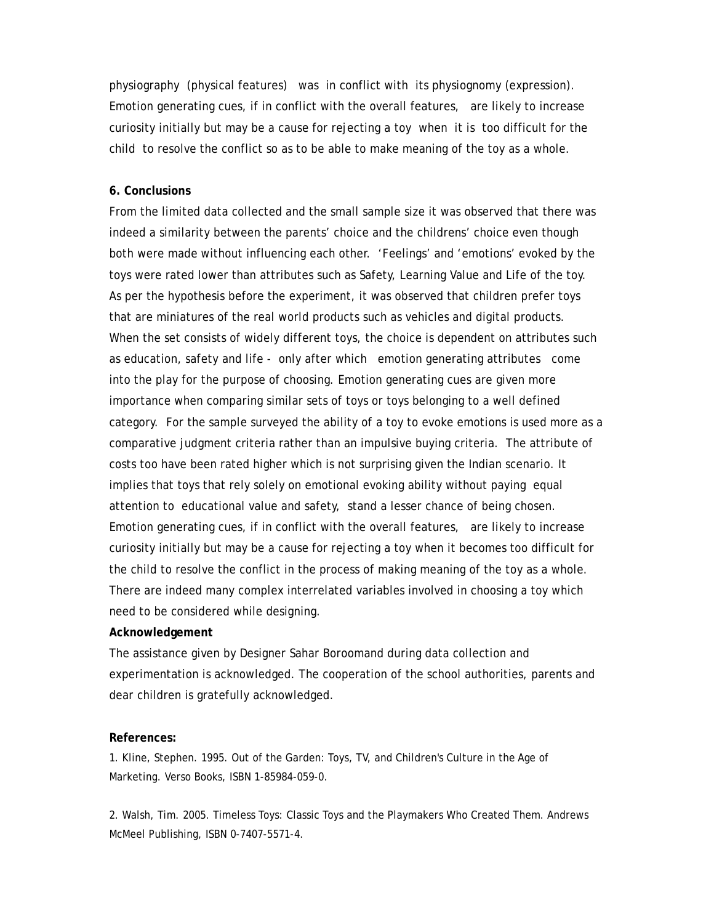physiography (physical features) was in conflict with its physiognomy (expression). Emotion generating cues, if in conflict with the overall features, are likely to increase curiosity initially but may be a cause for rejecting a toy when it is too difficult for the child to resolve the conflict so as to be able to make meaning of the toy as a whole.

## **6. Conclusions**

From the limited data collected and the small sample size it was observed that there was indeed a similarity between the parents' choice and the childrens' choice even though both were made without influencing each other. 'Feelings' and 'emotions' evoked by the toys were rated lower than attributes such as Safety, Learning Value and Life of the toy. As per the hypothesis before the experiment, it was observed that children prefer toys that are miniatures of the real world products such as vehicles and digital products. When the set consists of widely different toys, the choice is dependent on attributes such as education, safety and life - only after which emotion generating attributes come into the play for the purpose of choosing. Emotion generating cues are given more importance when comparing similar sets of toys or toys belonging to a well defined category. For the sample surveyed the ability of a toy to evoke emotions is used more as a comparative judgment criteria rather than an impulsive buying criteria. The attribute of costs too have been rated higher which is not surprising given the Indian scenario. It implies that toys that rely solely on emotional evoking ability without paying equal attention to educational value and safety, stand a lesser chance of being chosen. Emotion generating cues, if in conflict with the overall features, are likely to increase curiosity initially but may be a cause for rejecting a toy when it becomes too difficult for the child to resolve the conflict in the process of making meaning of the toy as a whole. There are indeed many complex interrelated variables involved in choosing a toy which need to be considered while designing.

## **Acknowledgement**

The assistance given by Designer Sahar Boroomand during data collection and experimentation is acknowledged. The cooperation of the school authorities, parents and dear children is gratefully acknowledged.

## **References:**

1. Kline, Stephen. 1995. Out of the Garden: Toys, TV, and Children's Culture in the Age of Marketing. Verso Books, ISBN 1-85984-059-0.

2. Walsh, Tim. 2005. Timeless Toys: Classic Toys and the Playmakers Who Created Them. Andrews McMeel Publishing, ISBN 0-7407-5571-4.